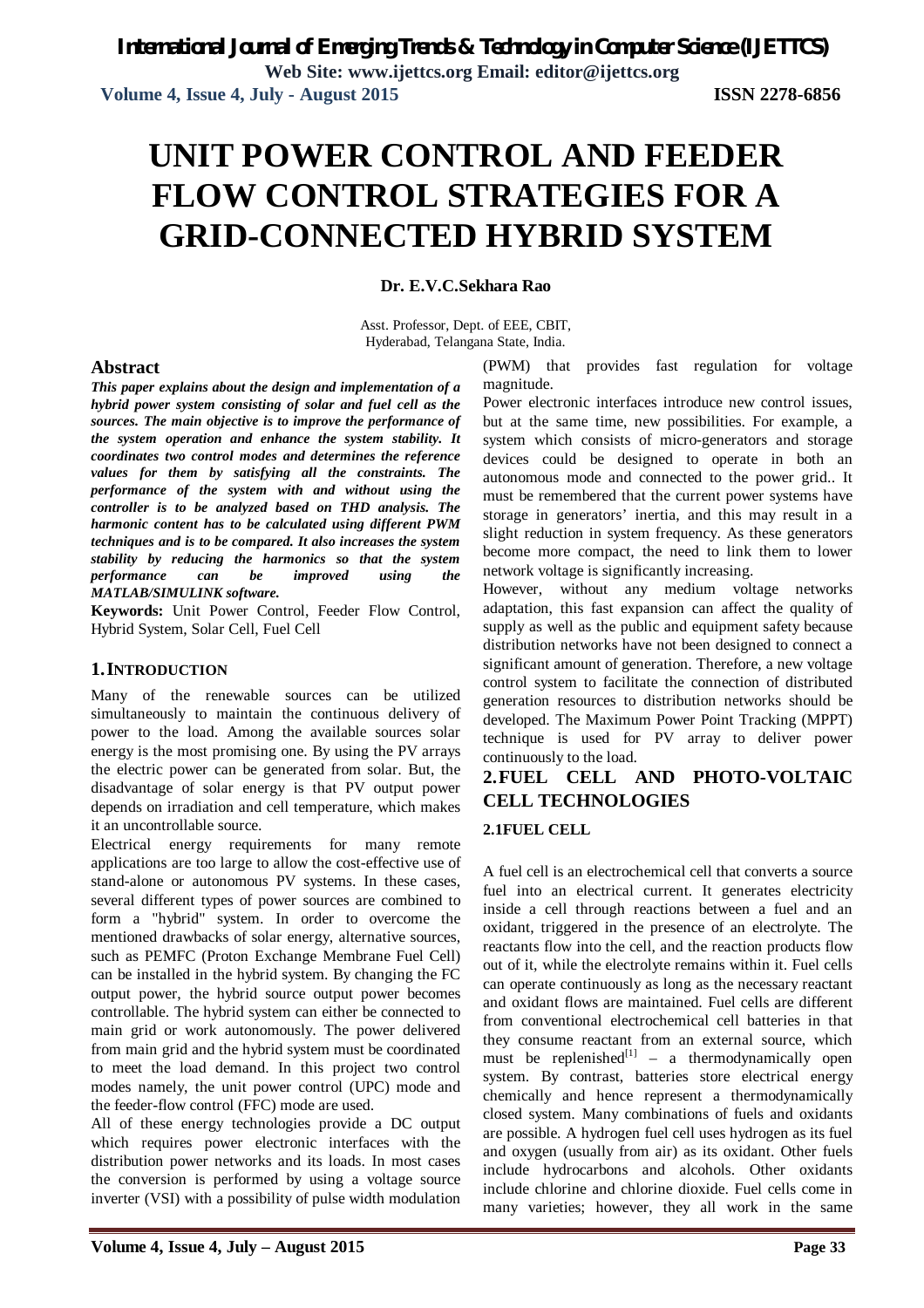**Web Site: www.ijettcs.org Email: editor@ijettcs.org Volume 4, Issue 4, July - August 2015 ISSN 2278-6856**

# **UNIT POWER CONTROL AND FEEDER FLOW CONTROL STRATEGIES FOR A GRID-CONNECTED HYBRID SYSTEM**

#### **Dr. E.V.C.Sekhara Rao**

Asst. Professor, Dept. of EEE, CBIT, Hyderabad, Telangana State, India.

#### **Abstract**

*This paper explains about the design and implementation of a hybrid power system consisting of solar and fuel cell as the sources. The main objective is to improve the performance of the system operation and enhance the system stability. It coordinates two control modes and determines the reference values for them by satisfying all the constraints. The performance of the system with and without using the controller is to be analyzed based on THD analysis. The harmonic content has to be calculated using different PWM techniques and is to be compared. It also increases the system stability by reducing the harmonics so that the system performance can be improved using the MATLAB/SIMULINK software.*

**Keywords:** Unit Power Control, Feeder Flow Control, Hybrid System, Solar Cell, Fuel Cell

#### **1.INTRODUCTION**

Many of the renewable sources can be utilized simultaneously to maintain the continuous delivery of power to the load. Among the available sources solar energy is the most promising one. By using the PV arrays the electric power can be generated from solar. But, the disadvantage of solar energy is that PV output power depends on irradiation and cell temperature, which makes it an uncontrollable source.

Electrical energy requirements for many remote applications are too large to allow the cost-effective use of stand-alone or autonomous PV systems. In these cases, several different types of power sources are combined to form a "hybrid" system. In order to overcome the mentioned drawbacks of solar energy, alternative sources, such as PEMFC (Proton Exchange Membrane Fuel Cell) can be installed in the hybrid system. By changing the FC output power, the hybrid source output power becomes controllable. The hybrid system can either be connected to main grid or work autonomously. The power delivered from main grid and the hybrid system must be coordinated to meet the load demand. In this project two control modes namely, the unit power control (UPC) mode and the feeder-flow control (FFC) mode are used.

All of these energy technologies provide a DC output which requires power electronic interfaces with the distribution power networks and its loads. In most cases the conversion is performed by using a voltage source inverter (VSI) with a possibility of pulse width modulation

(PWM) that provides fast regulation for voltage magnitude.

Power electronic interfaces introduce new control issues, but at the same time, new possibilities. For example, a system which consists of micro-generators and storage devices could be designed to operate in both an autonomous mode and connected to the power grid.. It must be remembered that the current power systems have storage in generators' inertia, and this may result in a slight reduction in system frequency. As these generators become more compact, the need to link them to lower network voltage is significantly increasing.

However, without any medium voltage networks adaptation, this fast expansion can affect the quality of supply as well as the public and equipment safety because distribution networks have not been designed to connect a significant amount of generation. Therefore, a new voltage control system to facilitate the connection of distributed generation resources to distribution networks should be developed. The Maximum Power Point Tracking (MPPT) technique is used for PV array to deliver power continuously to the load.

### **2.FUEL CELL AND PHOTO-VOLTAIC CELL TECHNOLOGIES**

#### **2.1FUEL CELL**

A fuel cell is an electrochemical cell that converts a source fuel into an electrical current. It generates electricity inside a cell through reactions between a fuel and an oxidant, triggered in the presence of an electrolyte. The reactants flow into the cell, and the reaction products flow out of it, while the electrolyte remains within it. Fuel cells can operate continuously as long as the necessary reactant and oxidant flows are maintained. Fuel cells are different from conventional electrochemical cell batteries in that they consume reactant from an external source, which must be replenished $\begin{bmatrix} 1 & 1 \\ 1 & 2 \end{bmatrix}$  a thermodynamically open system. By contrast, batteries store electrical energy chemically and hence represent a thermodynamically closed system. Many combinations of fuels and oxidants are possible. A hydrogen fuel cell uses hydrogen as its fuel and oxygen (usually from air) as its oxidant. Other fuels include hydrocarbons and alcohols. Other oxidants include chlorine and chlorine dioxide. Fuel cells come in many varieties; however, they all work in the same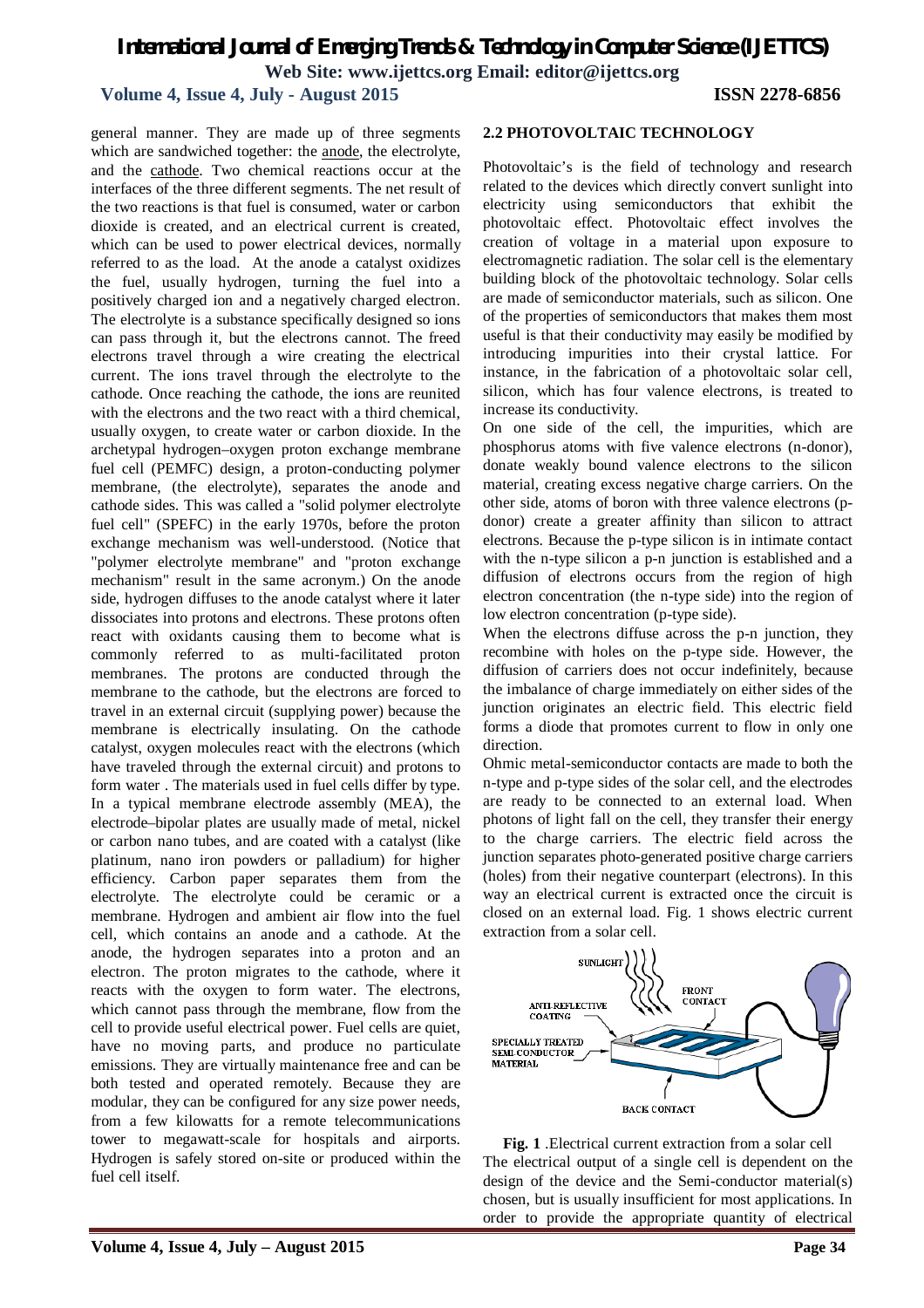#### **Volume 4, Issue 4, July - August 2015 ISSN 2278-6856**

general manner. They are made up of three segments which are sandwiched together: the anode, the electrolyte, and the cathode. Two chemical reactions occur at the interfaces of the three different segments. The net result of the two reactions is that fuel is consumed, water or carbon dioxide is created, and an electrical current is created, which can be used to power electrical devices, normally referred to as the load. At the anode a catalyst oxidizes the fuel, usually hydrogen, turning the fuel into a positively charged ion and a negatively charged electron. The electrolyte is a substance specifically designed so ions can pass through it, but the electrons cannot. The freed electrons travel through a wire creating the electrical current. The ions travel through the electrolyte to the cathode. Once reaching the cathode, the ions are reunited with the electrons and the two react with a third chemical, usually oxygen, to create water or carbon dioxide. In the archetypal hydrogen–oxygen proton exchange membrane fuel cell (PEMFC) design, a proton-conducting polymer membrane, (the electrolyte), separates the anode and cathode sides. This was called a "solid polymer electrolyte fuel cell" (SPEFC) in the early 1970s, before the proton exchange mechanism was well-understood. (Notice that "polymer electrolyte membrane" and "proton exchange mechanism" result in the same acronym.) On the anode side, hydrogen diffuses to the anode catalyst where it later dissociates into protons and electrons. These protons often react with oxidants causing them to become what is commonly referred to as multi-facilitated proton membranes. The protons are conducted through the membrane to the cathode, but the electrons are forced to travel in an external circuit (supplying power) because the membrane is electrically insulating. On the cathode catalyst, oxygen molecules react with the electrons (which have traveled through the external circuit) and protons to form water . The materials used in fuel cells differ by type. In a typical membrane electrode assembly (MEA), the electrode–bipolar plates are usually made of metal, nickel or carbon nano tubes, and are coated with a catalyst (like platinum, nano iron powders or palladium) for higher efficiency. Carbon paper separates them from the electrolyte. The electrolyte could be ceramic or a membrane. Hydrogen and ambient air flow into the fuel cell, which contains an anode and a cathode. At the anode, the hydrogen separates into a proton and an electron. The proton migrates to the cathode, where it reacts with the oxygen to form water. The electrons, which cannot pass through the membrane, flow from the cell to provide useful electrical power. Fuel cells are quiet, have no moving parts, and produce no particulate emissions. They are virtually maintenance free and can be both tested and operated remotely. Because they are modular, they can be configured for any size power needs, from a few kilowatts for a remote telecommunications tower to megawatt-scale for hospitals and airports. Hydrogen is safely stored on-site or produced within the fuel cell itself.

#### **2.2 PHOTOVOLTAIC TECHNOLOGY**

Photovoltaic's is the field of technology and research related to the devices which directly convert sunlight into electricity using semiconductors that exhibit the photovoltaic effect. Photovoltaic effect involves the creation of voltage in a material upon exposure to electromagnetic radiation. The solar cell is the elementary building block of the photovoltaic technology. Solar cells are made of semiconductor materials, such as silicon. One of the properties of semiconductors that makes them most useful is that their conductivity may easily be modified by introducing impurities into their crystal lattice. For instance, in the fabrication of a photovoltaic solar cell, silicon, which has four valence electrons, is treated to increase its conductivity.

On one side of the cell, the impurities, which are phosphorus atoms with five valence electrons (n-donor), donate weakly bound valence electrons to the silicon material, creating excess negative charge carriers. On the other side, atoms of boron with three valence electrons (pdonor) create a greater affinity than silicon to attract electrons. Because the p-type silicon is in intimate contact with the n-type silicon a p-n junction is established and a diffusion of electrons occurs from the region of high electron concentration (the n-type side) into the region of low electron concentration (p-type side).

When the electrons diffuse across the p-n junction, they recombine with holes on the p-type side. However, the diffusion of carriers does not occur indefinitely, because the imbalance of charge immediately on either sides of the junction originates an electric field. This electric field forms a diode that promotes current to flow in only one direction.

Ohmic metal-semiconductor contacts are made to both the n-type and p-type sides of the solar cell, and the electrodes are ready to be connected to an external load. When photons of light fall on the cell, they transfer their energy to the charge carriers. The electric field across the junction separates photo-generated positive charge carriers (holes) from their negative counterpart (electrons). In this way an electrical current is extracted once the circuit is closed on an external load. Fig. 1 shows electric current extraction from a solar cell.



**Fig. 1** .Electrical current extraction from a solar cell The electrical output of a single cell is dependent on the design of the device and the Semi-conductor material(s) chosen, but is usually insufficient for most applications. In order to provide the appropriate quantity of electrical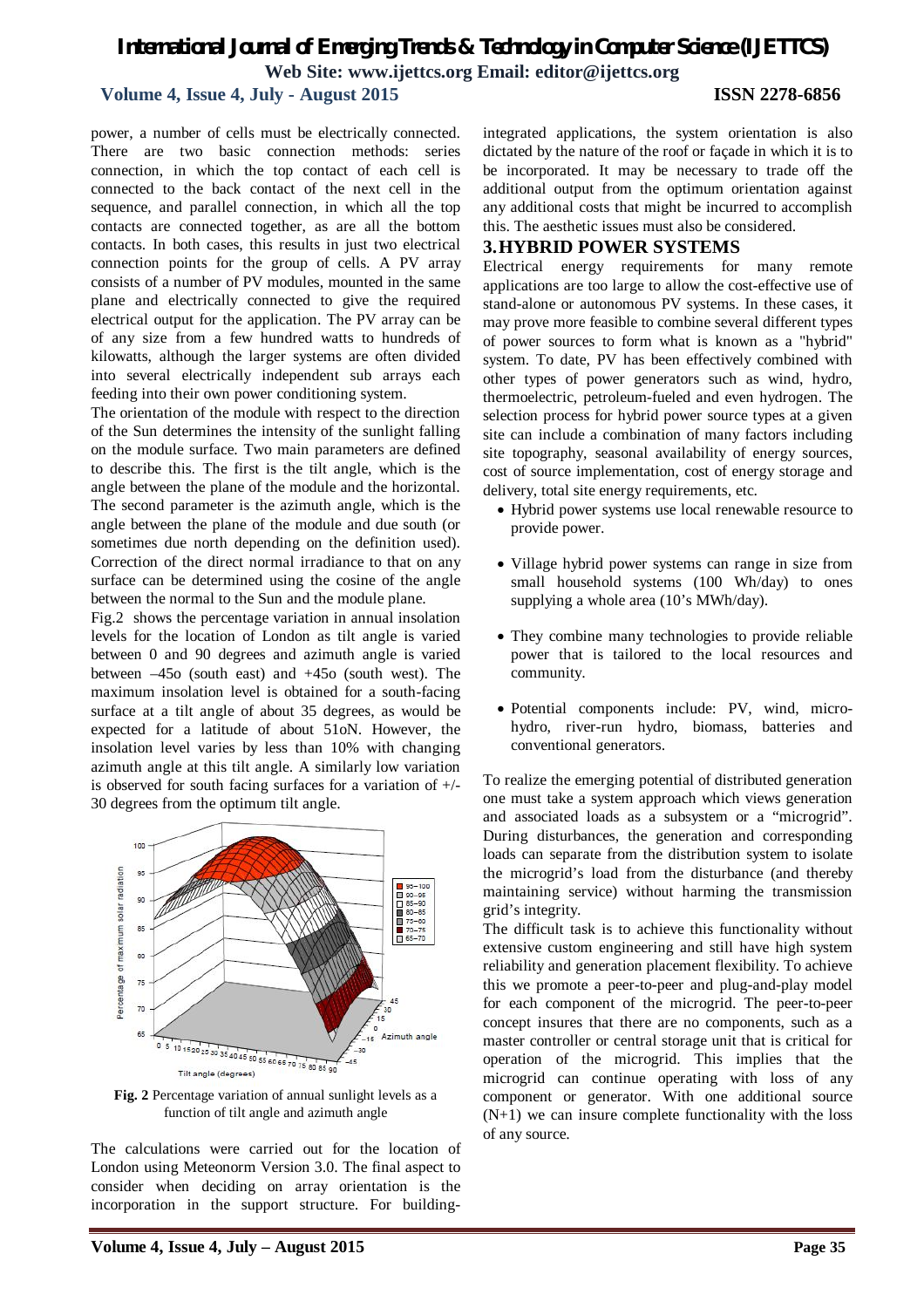## **Volume 4, Issue 4, July - August 2015 ISSN 2278-6856**

power, a number of cells must be electrically connected. There are two basic connection methods: series connection, in which the top contact of each cell is connected to the back contact of the next cell in the sequence, and parallel connection, in which all the top contacts are connected together, as are all the bottom contacts. In both cases, this results in just two electrical connection points for the group of cells. A PV array consists of a number of PV modules, mounted in the same plane and electrically connected to give the required electrical output for the application. The PV array can be of any size from a few hundred watts to hundreds of kilowatts, although the larger systems are often divided into several electrically independent sub arrays each feeding into their own power conditioning system.

The orientation of the module with respect to the direction of the Sun determines the intensity of the sunlight falling on the module surface. Two main parameters are defined to describe this. The first is the tilt angle, which is the angle between the plane of the module and the horizontal. The second parameter is the azimuth angle, which is the angle between the plane of the module and due south (or sometimes due north depending on the definition used). Correction of the direct normal irradiance to that on any surface can be determined using the cosine of the angle between the normal to the Sun and the module plane.

Fig.2 shows the percentage variation in annual insolation levels for the location of London as tilt angle is varied between 0 and 90 degrees and azimuth angle is varied between –45o (south east) and +45o (south west). The maximum insolation level is obtained for a south-facing surface at a tilt angle of about 35 degrees, as would be expected for a latitude of about 51oN. However, the insolation level varies by less than 10% with changing azimuth angle at this tilt angle. A similarly low variation is observed for south facing surfaces for a variation of  $+/-$ 30 degrees from the optimum tilt angle.



**Fig. 2** Percentage variation of annual sunlight levels as a function of tilt angle and azimuth angle

The calculations were carried out for the location of London using Meteonorm Version 3.0. The final aspect to consider when deciding on array orientation is the incorporation in the support structure. For building-

integrated applications, the system orientation is also dictated by the nature of the roof or façade in which it is to be incorporated. It may be necessary to trade off the additional output from the optimum orientation against any additional costs that might be incurred to accomplish this. The aesthetic issues must also be considered.

#### **3.HYBRID POWER SYSTEMS**

Electrical energy requirements for many remote applications are too large to allow the cost-effective use of stand-alone or autonomous PV systems. In these cases, it may prove more feasible to combine several different types of power sources to form what is known as a "hybrid" system. To date, PV has been effectively combined with other types of power generators such as wind, hydro, thermoelectric, petroleum-fueled and even hydrogen. The selection process for hybrid power source types at a given site can include a combination of many factors including site topography, seasonal availability of energy sources, cost of source implementation, cost of energy storage and delivery, total site energy requirements, etc.

- Hybrid power systems use local renewable resource to provide power.
- Village hybrid power systems can range in size from small household systems (100 Wh/day) to ones supplying a whole area (10's MWh/day).
- They combine many technologies to provide reliable power that is tailored to the local resources and community.
- Potential components include: PV, wind, microhydro, river-run hydro, biomass, batteries and conventional generators.

To realize the emerging potential of distributed generation one must take a system approach which views generation and associated loads as a subsystem or a "microgrid". During disturbances, the generation and corresponding loads can separate from the distribution system to isolate the microgrid's load from the disturbance (and thereby maintaining service) without harming the transmission grid's integrity.

The difficult task is to achieve this functionality without extensive custom engineering and still have high system reliability and generation placement flexibility. To achieve this we promote a peer-to-peer and plug-and-play model for each component of the microgrid. The peer-to-peer concept insures that there are no components, such as a master controller or central storage unit that is critical for operation of the microgrid. This implies that the microgrid can continue operating with loss of any component or generator. With one additional source  $(N+1)$  we can insure complete functionality with the loss of any source.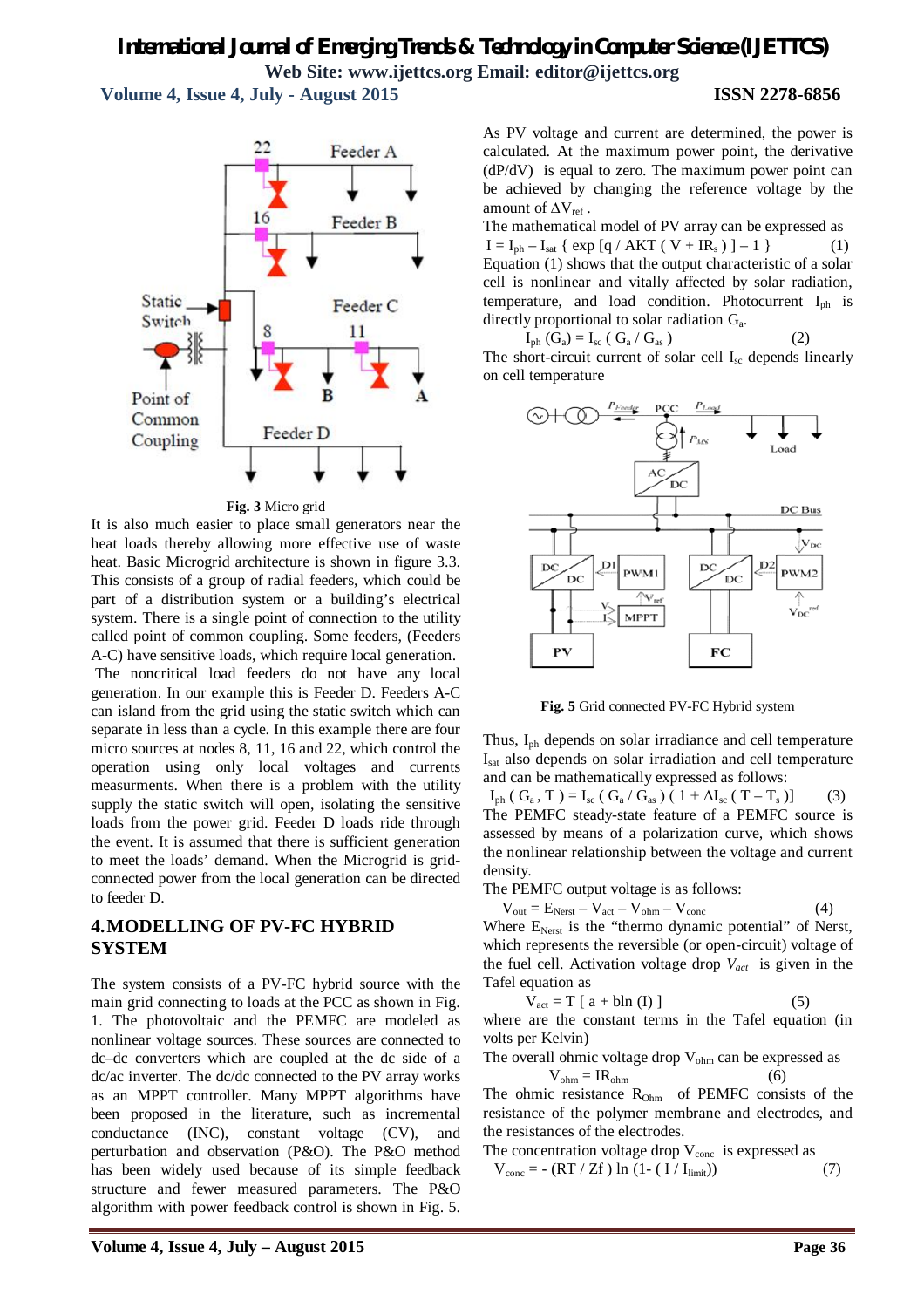**Volume 4, Issue 4, July - August 2015 ISSN 2278-6856**



#### **Fig. 3** Micro grid

It is also much easier to place small generators near the heat loads thereby allowing more effective use of waste heat. Basic Microgrid architecture is shown in figure 3.3. This consists of a group of radial feeders, which could be part of a distribution system or a building's electrical system. There is a single point of connection to the utility called point of common coupling. Some feeders, (Feeders A-C) have sensitive loads, which require local generation. The noncritical load feeders do not have any local generation. In our example this is Feeder D. Feeders A-C can island from the grid using the static switch which can separate in less than a cycle. In this example there are four micro sources at nodes 8, 11, 16 and 22, which control the operation using only local voltages and currents measurments. When there is a problem with the utility supply the static switch will open, isolating the sensitive loads from the power grid. Feeder D loads ride through the event. It is assumed that there is sufficient generation to meet the loads' demand. When the Microgrid is gridconnected power from the local generation can be directed to feeder D.

#### **4.MODELLING OF PV-FC HYBRID SYSTEM**

The system consists of a PV-FC hybrid source with the main grid connecting to loads at the PCC as shown in Fig. 1. The photovoltaic and the PEMFC are modeled as nonlinear voltage sources. These sources are connected to dc–dc converters which are coupled at the dc side of a dc/ac inverter. The dc/dc connected to the PV array works as an MPPT controller. Many MPPT algorithms have been proposed in the literature, such as incremental conductance (INC), constant voltage (CV), and perturbation and observation (P&O). The P&O method has been widely used because of its simple feedback structure and fewer measured parameters. The P&O algorithm with power feedback control is shown in Fig. 5. As PV voltage and current are determined, the power is calculated. At the maximum power point, the derivative (dP/dV)is equal to zero. The maximum power point can be achieved by changing the reference voltage by the amount of  $\Delta V_{ref}$ .

The mathematical model of PV array can be expressed as  $I = I_{ph} - I_{sat}$  {  $exp [q / AKT ( V + IR_s ) ] - 1$  } (1) Equation (1) shows that the output characteristic of a solar cell is nonlinear and vitally affected by solar radiation, temperature, and load condition. Photocurrent  $I_{ph}$  is directly proportional to solar radiation G<sub>a</sub>.

 $I_{ph}$  (G<sub>a</sub>) = I<sub>sc</sub> (G<sub>a</sub> / G<sub>as</sub>) (2)

The short-circuit current of solar cell  $I_{\rm sc}$  depends linearly on cell temperature



**Fig. 5** Grid connected PV-FC Hybrid system

Thus, I<sub>ph</sub> depends on solar irradiance and cell temperature Isat also depends on solar irradiation and cell temperature and can be mathematically expressed as follows:

 $I_{ph} ( G_a, T ) = I_{sc} ( G_a / G_{as} ) ( 1 + \Delta I_{sc} ( T - T_s ) ]$  (3) The PEMFC steady-state feature of a PEMFC source is assessed by means of a polarization curve, which shows the nonlinear relationship between the voltage and current density.

The PEMFC output voltage is as follows:

$$
V_{out} = E_{Nerst} - V_{act} - V_{ohm} - V_{conc}
$$
 (4)

Where  $E_{Nerst}$  is the "thermo dynamic potential" of Nerst, which represents the reversible (or open-circuit) voltage of the fuel cell. Activation voltage drop  $V_{act}$  is given in the Tafel equation as

$$
V_{act} = T [a + bh (I)] \tag{5}
$$

where are the constant terms in the Tafel equation (in volts per Kelvin)

The overall ohmic voltage drop 
$$
V_{ohm}
$$
 can be expressed as

 $V_{ohm} = IR_{ohm}$  (6) The ohmic resistance  $R_{Ohm}$  of PEMFC consists of the resistance of the polymer membrane and electrodes, and the resistances of the electrodes.

The concentration voltage drop 
$$
V_{\text{conc}}
$$
 is expressed as  
\n $V_{\text{conc}} = - (RT / Zf) \ln (1 - (1 / I_{\text{limit}}))$  (7)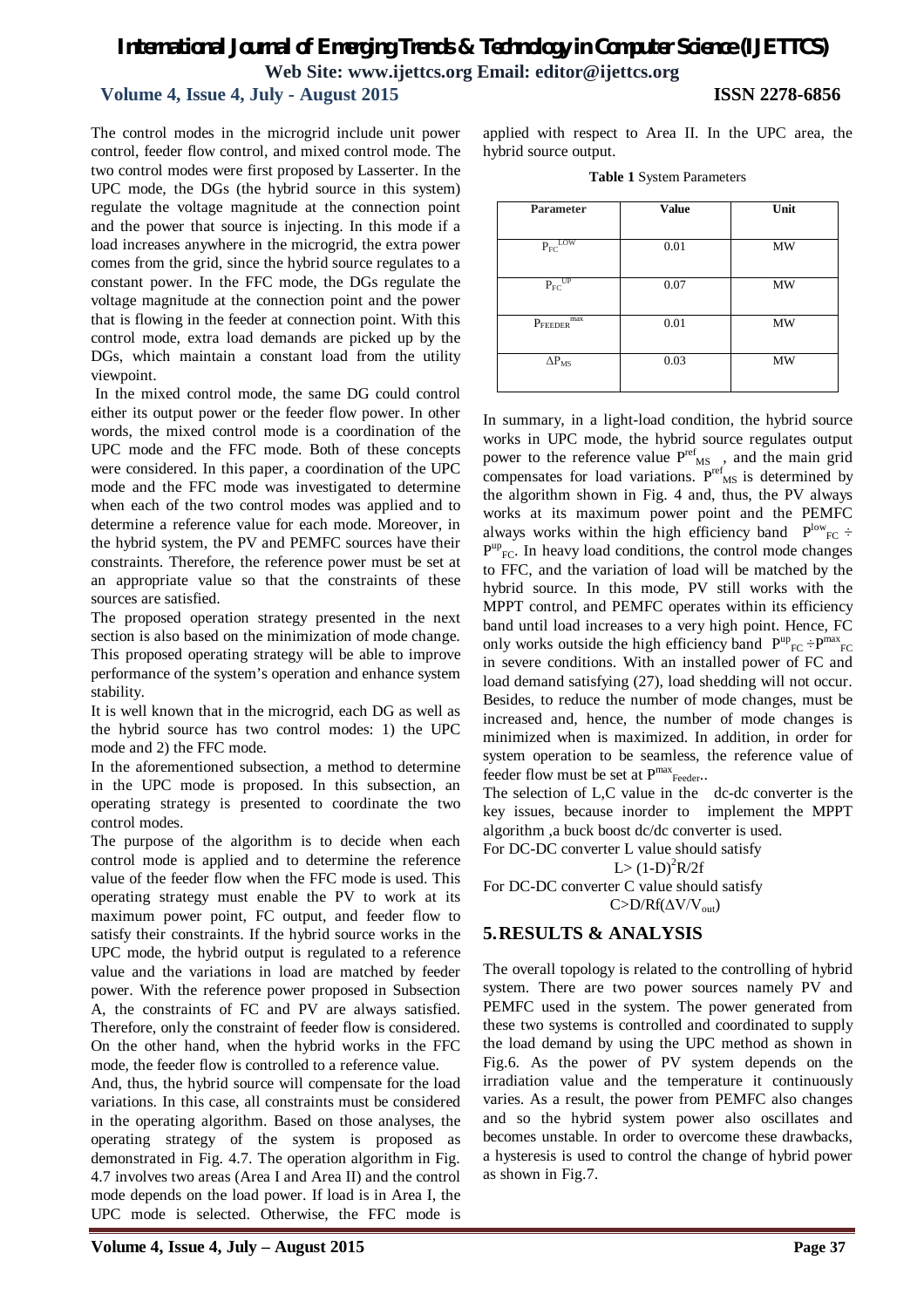#### **Volume 4, Issue 4, July - August 2015 ISSN 2278-6856**

The control modes in the microgrid include unit power control, feeder flow control, and mixed control mode. The two control modes were first proposed by Lasserter. In the UPC mode, the DGs (the hybrid source in this system) regulate the voltage magnitude at the connection point and the power that source is injecting. In this mode if a load increases anywhere in the microgrid, the extra power comes from the grid, since the hybrid source regulates to a constant power. In the FFC mode, the DGs regulate the voltage magnitude at the connection point and the power that is flowing in the feeder at connection point. With this control mode, extra load demands are picked up by the DGs, which maintain a constant load from the utility viewpoint.

In the mixed control mode, the same DG could control either its output power or the feeder flow power. In other words, the mixed control mode is a coordination of the UPC mode and the FFC mode. Both of these concepts were considered. In this paper, a coordination of the UPC mode and the FFC mode was investigated to determine when each of the two control modes was applied and to determine a reference value for each mode. Moreover, in the hybrid system, the PV and PEMFC sources have their constraints. Therefore, the reference power must be set at an appropriate value so that the constraints of these sources are satisfied.

The proposed operation strategy presented in the next section is also based on the minimization of mode change. This proposed operating strategy will be able to improve performance of the system's operation and enhance system stability.

It is well known that in the microgrid, each DG as well as the hybrid source has two control modes: 1) the UPC mode and 2) the FFC mode.

In the aforementioned subsection, a method to determine in the UPC mode is proposed. In this subsection, an operating strategy is presented to coordinate the two control modes.

The purpose of the algorithm is to decide when each control mode is applied and to determine the reference value of the feeder flow when the FFC mode is used. This operating strategy must enable the PV to work at its maximum power point, FC output, and feeder flow to satisfy their constraints. If the hybrid source works in the UPC mode, the hybrid output is regulated to a reference value and the variations in load are matched by feeder power. With the reference power proposed in Subsection A, the constraints of FC and PV are always satisfied. Therefore, only the constraint of feeder flow is considered. On the other hand, when the hybrid works in the FFC mode, the feeder flow is controlled to a reference value.

And, thus, the hybrid source will compensate for the load variations. In this case, all constraints must be considered in the operating algorithm. Based on those analyses, the operating strategy of the system is proposed as demonstrated in Fig. 4.7. The operation algorithm in Fig. 4.7 involves two areas (Area I and Area II) and the control mode depends on the load power. If load is in Area I, the UPC mode is selected. Otherwise, the FFC mode is

applied with respect to Area II. In the UPC area, the hybrid source output.

|  |  |  | <b>Table 1 System Parameters</b> |
|--|--|--|----------------------------------|
|--|--|--|----------------------------------|

| <b>Parameter</b>              | <b>Value</b> | Unit |
|-------------------------------|--------------|------|
| $\rm P_{FC}^{\overline{LOW}}$ | 0.01         | MW   |
| $P_{FC}$ UP                   | 0.07         | MW   |
| max<br>PFEEDER <sup>'</sup>   | 0.01         | MW   |
| $\Delta P_{MS}$               | 0.03         | MW   |
|                               |              |      |

In summary, in a light-load condition, the hybrid source works in UPC mode, the hybrid source regulates output power to the reference value  $P^{ref}$ <sub>MS</sub>, and the main grid compensates for load variations.  $P^{ref}{}_{MS}$  is determined by the algorithm shown in Fig. 4 and, thus, the PV always works at its maximum power point and the PEMFC always works within the high efficiency band  $P^{low}_{FC} \div$ P<sup>up</sup><sub>FC</sub>. In heavy load conditions, the control mode changes to FFC, and the variation of load will be matched by the hybrid source. In this mode, PV still works with the MPPT control, and PEMFC operates within its efficiency band until load increases to a very high point. Hence, FC only works outside the high efficiency band  $P^{up}_{FC} \div P^{max}_{FC}$ in severe conditions. With an installed power of FC and load demand satisfying (27), load shedding will not occur. Besides, to reduce the number of mode changes, must be increased and, hence, the number of mode changes is minimized when is maximized. In addition, in order for system operation to be seamless, the reference value of feeder flow must be set at P<sup>max</sup> Feeder..

The selection of L,C value in the dc-dc converter is the key issues, because inorder to implement the MPPT algorithm ,a buck boost dc/dc converter is used.

For DC-DC converter L value should satisfy

 $L > (1-D)^2R/2f$ 

For DC-DC converter C value should satisfy C>D/Rf(ΔV/V<sub>out</sub>)

### **5.RESULTS & ANALYSIS**

The overall topology is related to the controlling of hybrid system. There are two power sources namely PV and PEMFC used in the system. The power generated from these two systems is controlled and coordinated to supply the load demand by using the UPC method as shown in Fig.6. As the power of PV system depends on the irradiation value and the temperature it continuously varies. As a result, the power from PEMFC also changes and so the hybrid system power also oscillates and becomes unstable. In order to overcome these drawbacks, a hysteresis is used to control the change of hybrid power as shown in Fig.7.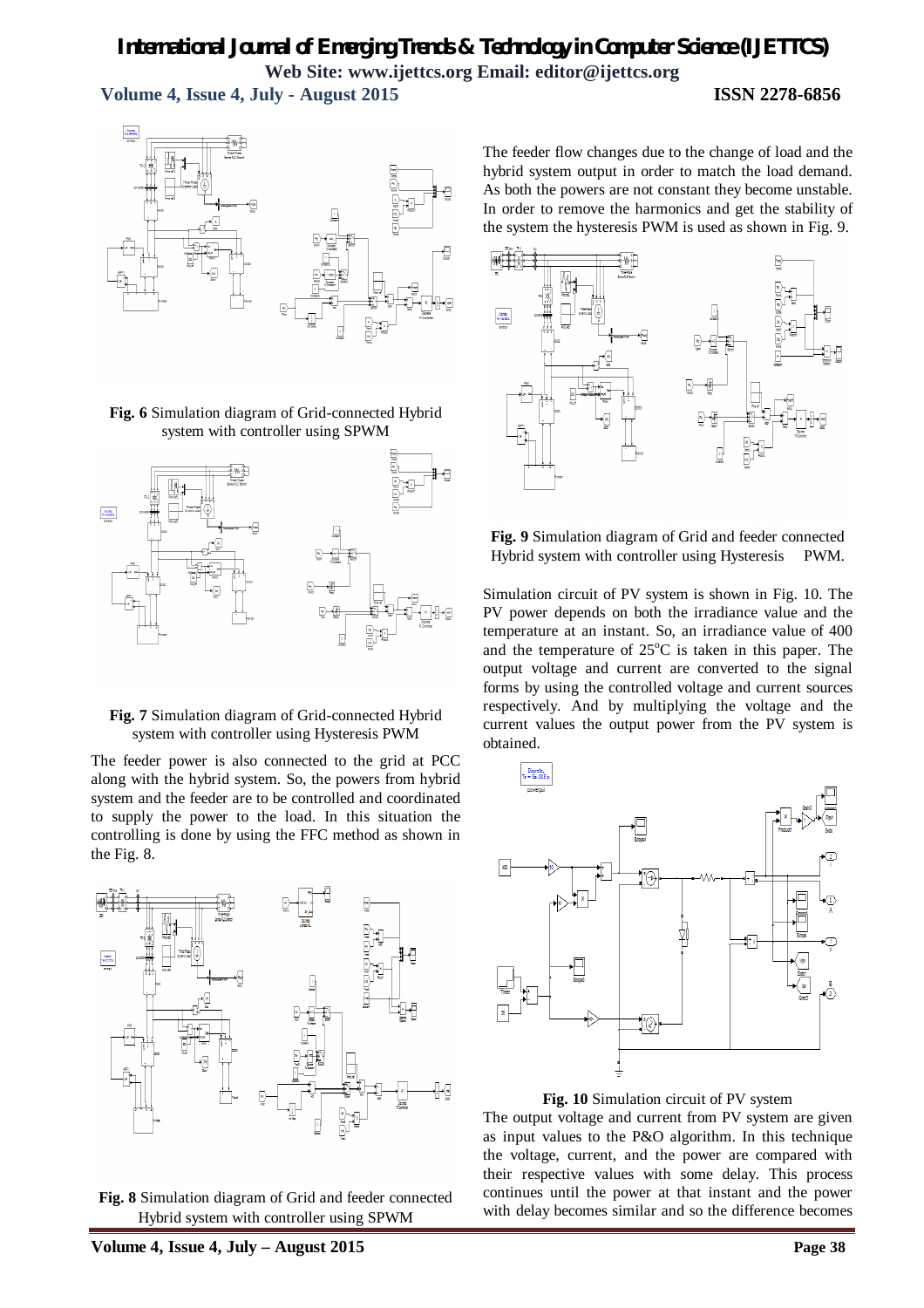### *International Journal of Emerging Trends & Technology in Computer Science (IJETTCS)* **Web Site: www.ijettcs.org Email: editor@ijettcs.org Volume 4, Issue 4, July - August 2015 ISSN 2278-6856**



**Fig. 6** Simulation diagram of Grid-connected Hybrid system with controller using SPWM



#### **Fig. 7** Simulation diagram of Grid-connected Hybrid system with controller using Hysteresis PWM

The feeder power is also connected to the grid at PCC along with the hybrid system. So, the powers from hybrid system and the feeder are to be controlled and coordinated to supply the power to the load. In this situation the controlling is done by using the FFC method as shown in the Fig. 8.



**Fig. 8** Simulation diagram of Grid and feeder connected Hybrid system with controller using SPWM

The feeder flow changes due to the change of load and the hybrid system output in order to match the load demand. As both the powers are not constant they become unstable. In order to remove the harmonics and get the stability of the system the hysteresis PWM is used as shown in Fig. 9.





Simulation circuit of PV system is shown in Fig. 10. The PV power depends on both the irradiance value and the temperature at an instant. So, an irradiance value of 400 and the temperature of  $25^{\circ}$ C is taken in this paper. The output voltage and current are converted to the signal forms by using the controlled voltage and current sources respectively. And by multiplying the voltage and the current values the output power from the PV system is obtained.



**Fig. 10** Simulation circuit of PV system

The output voltage and current from PV system are given as input values to the P&O algorithm. In this technique the voltage, current, and the power are compared with their respective values with some delay. This process continues until the power at that instant and the power with delay becomes similar and so the difference becomes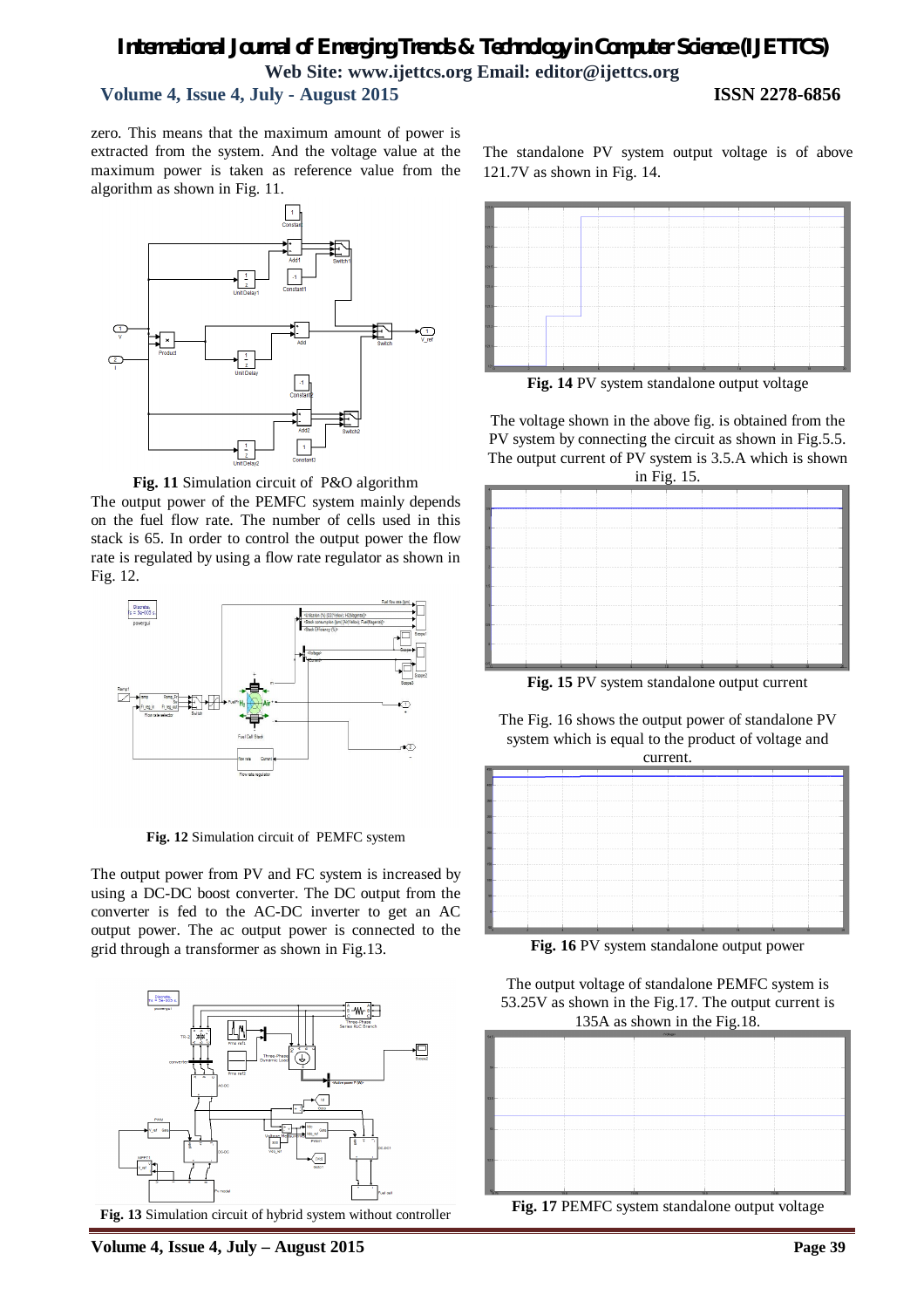### *International Journal of Emerging Trends & Technology in Computer Science (IJETTCS)* **Web Site: www.ijettcs.org Email: editor@ijettcs.org Volume 4, Issue 4, July - August 2015 ISSN 2278-6856**

zero. This means that the maximum amount of power is extracted from the system. And the voltage value at the maximum power is taken as reference value from the algorithm as shown in Fig. 11.



**Fig. 11** Simulation circuit of P&O algorithm

The output power of the PEMFC system mainly depends on the fuel flow rate. The number of cells used in this stack is 65. In order to control the output power the flow rate is regulated by using a flow rate regulator as shown in Fig. 12.



**Fig. 12** Simulation circuit of PEMFC system

The output power from PV and FC system is increased by using a DC-DC boost converter. The DC output from the converter is fed to the AC-DC inverter to get an AC output power. The ac output power is connected to the grid through a transformer as shown in Fig.13.



121.7V as shown in Fig. 14.



The standalone PV system output voltage is of above

**Fig. 14** PV system standalone output voltage

The voltage shown in the above fig. is obtained from the PV system by connecting the circuit as shown in Fig.5.5. The output current of PV system is 3.5.A which is shown



**Fig. 15** PV system standalone output current

The Fig. 16 shows the output power of standalone PV system which is equal to the product of voltage and current.



**Fig. 16** PV system standalone output power

The output voltage of standalone PEMFC system is 53.25V as shown in the Fig.17. The output current is 135A as shown in the Fig.18.



**Fig. 17** PEMFC system standalone output voltage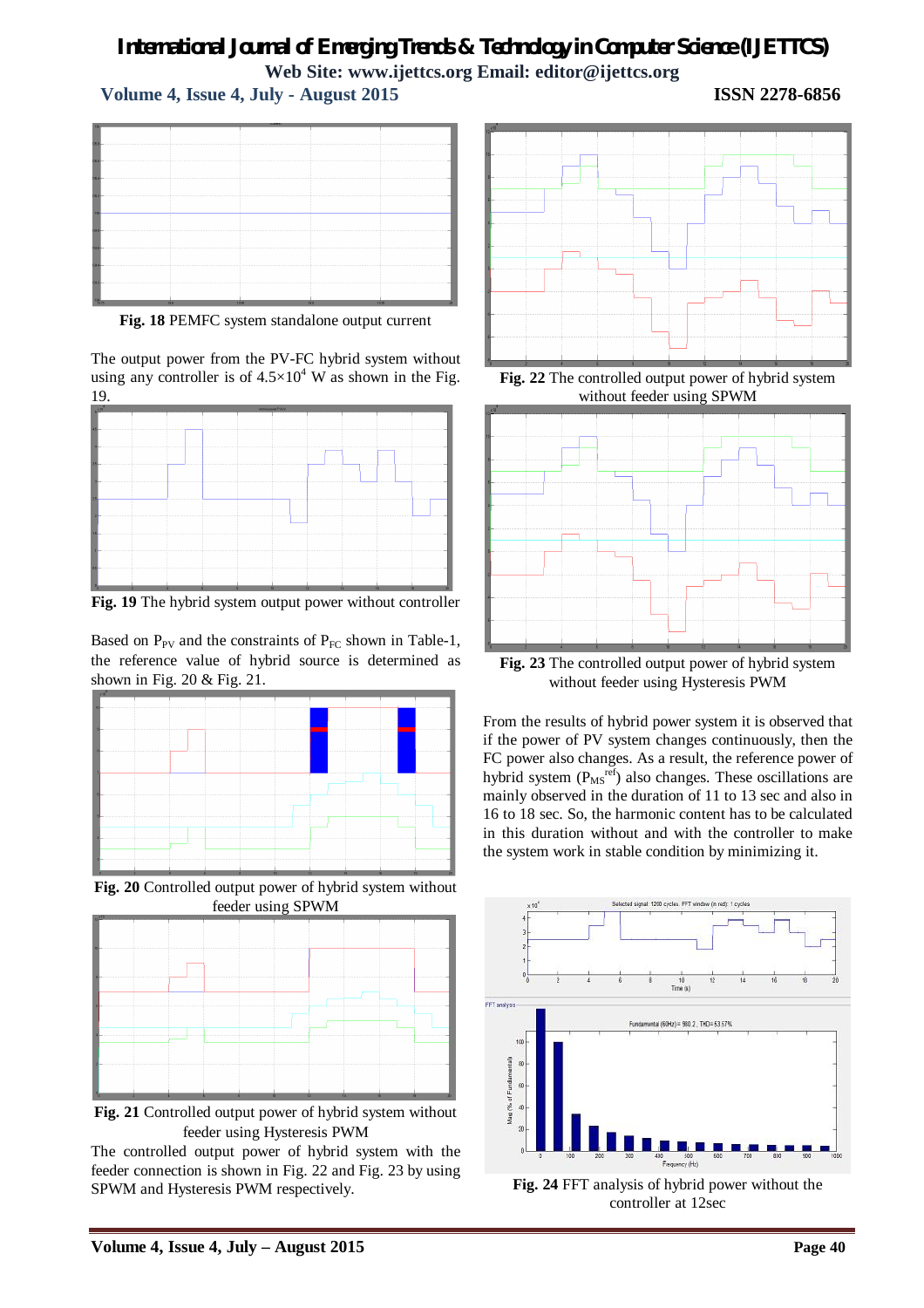# **Volume 4, Issue 4, July - August 2015 ISSN 2278-6856**



**Fig. 18** PEMFC system standalone output current

The output power from the PV-FC hybrid system without using any controller is of  $4.5 \times 10^4$  W as shown in the Fig. 19.



**Fig. 19** The hybrid system output power without controller

Based on  $P_{PV}$  and the constraints of  $P_{FC}$  shown in Table-1, the reference value of hybrid source is determined as shown in Fig. 20 & Fig. 21.



**Fig. 20** Controlled output power of hybrid system without feeder using SPWM



**Fig. 21** Controlled output power of hybrid system without feeder using Hysteresis PWM

The controlled output power of hybrid system with the feeder connection is shown in Fig. 22 and Fig. 23 by using SPWM and Hysteresis PWM respectively.



**Fig. 22** The controlled output power of hybrid system without feeder using SPWM



**Fig. 23** The controlled output power of hybrid system without feeder using Hysteresis PWM

From the results of hybrid power system it is observed that if the power of PV system changes continuously, then the FC power also changes. As a result, the reference power of hybrid system  $(P_{MS}^{ref})$  also changes. These oscillations are mainly observed in the duration of 11 to 13 sec and also in 16 to 18 sec. So, the harmonic content has to be calculated in this duration without and with the controller to make the system work in stable condition by minimizing it.



**Fig. 24** FFT analysis of hybrid power without the controller at 12sec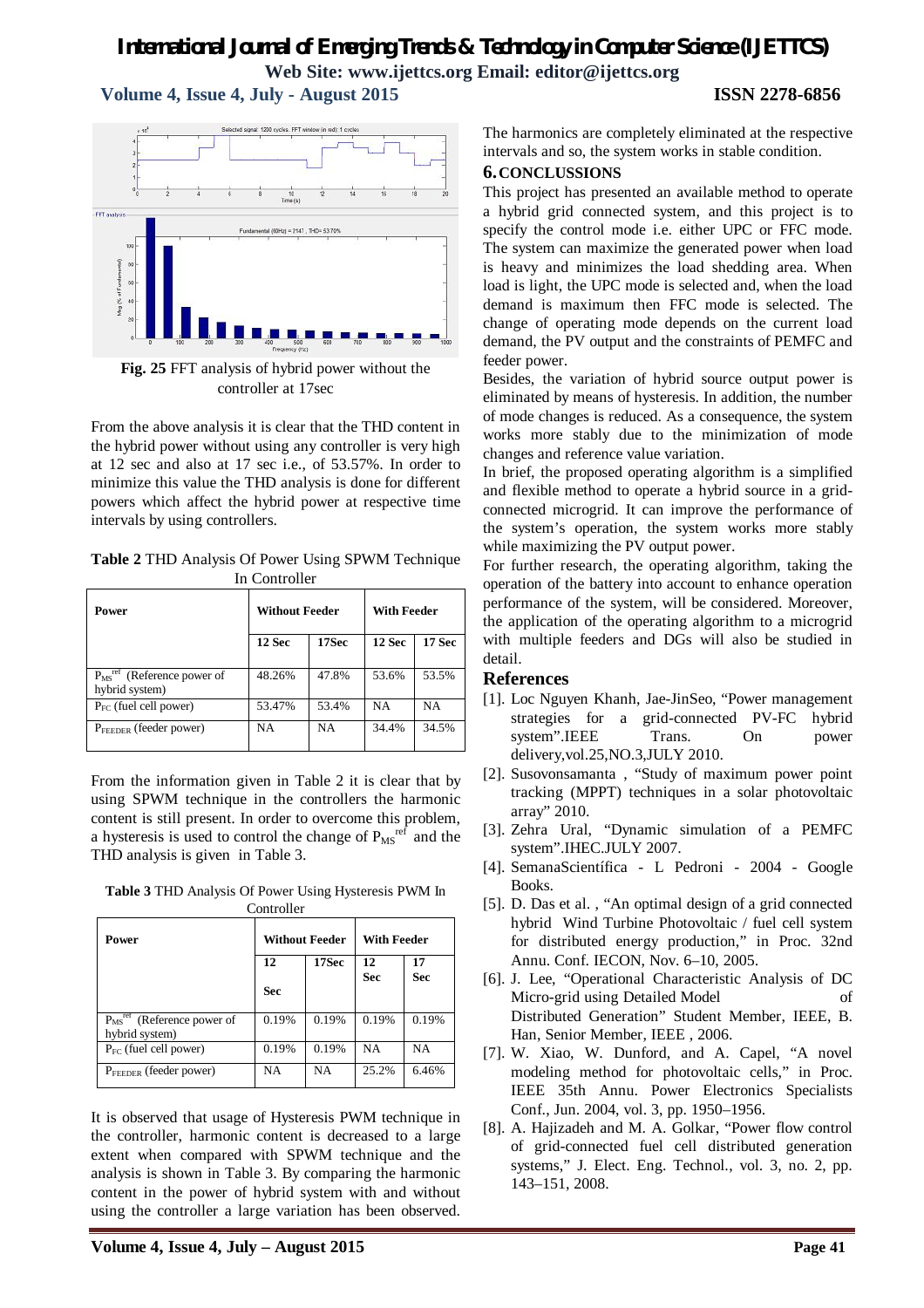**Volume 4, Issue 4, July - August 2015 ISSN 2278-6856**



**Fig. 25** FFT analysis of hybrid power without the controller at 17sec

From the above analysis it is clear that the THD content in the hybrid power without using any controller is very high at 12 sec and also at 17 sec i.e., of 53.57%. In order to minimize this value the THD analysis is done for different powers which affect the hybrid power at respective time intervals by using controllers.

**Table 2** THD Analysis Of Power Using SPWM Technique In Controller

| Power                                                         | <b>Without Feeder</b> |           | <b>With Feeder</b> |               |
|---------------------------------------------------------------|-----------------------|-----------|--------------------|---------------|
|                                                               | 12 Sec                | 17Sec     | <b>12 Sec</b>      | <b>17 Sec</b> |
| $P_{MS}$ <sup>ref</sup> (Reference power of<br>hybrid system) | 48.26%                | 47.8%     | 53.6%              | 53.5%         |
| $P_{FC}$ (fuel cell power)                                    | 53.47%                | 53.4%     | NA                 | <b>NA</b>     |
| PFEEDER (feeder power)                                        | NA                    | <b>NA</b> | 34.4%              | 34.5%         |

From the information given in Table 2 it is clear that by using SPWM technique in the controllers the harmonic content is still present. In order to overcome this problem, a hysteresis is used to control the change of  $P_{MS}^{ref}$  and the THD analysis is given in Table 3.

**Table 3** THD Analysis Of Power Using Hysteresis PWM In Controller

| Power                                                         |            | <b>Without Feeder</b> | <b>With Feeder</b> |            |
|---------------------------------------------------------------|------------|-----------------------|--------------------|------------|
|                                                               | 12         | 17Sec                 | 12<br><b>Sec</b>   | 17         |
|                                                               | <b>Sec</b> |                       |                    | <b>Sec</b> |
| $P_{MS}$ <sup>ref</sup> (Reference power of<br>hybrid system) | 0.19%      | 0.19%                 | 0.19%              | 0.19%      |
| $P_{FC}$ (fuel cell power)                                    | 0.19%      | 0.19%                 | <b>NA</b>          | NA         |
| PFEEDER (feeder power)                                        | NA         | <b>NA</b>             | 25.2%              | 6.46%      |

It is observed that usage of Hysteresis PWM technique in the controller, harmonic content is decreased to a large extent when compared with SPWM technique and the analysis is shown in Table 3. By comparing the harmonic content in the power of hybrid system with and without using the controller a large variation has been observed.

**Volume 4, Issue 4, July – August 2015 Page 41**

The harmonics are completely eliminated at the respective intervals and so, the system works in stable condition.

#### **6.CONCLUSSIONS**

This project has presented an available method to operate a hybrid grid connected system, and this project is to specify the control mode i.e. either UPC or FFC mode. The system can maximize the generated power when load is heavy and minimizes the load shedding area. When load is light, the UPC mode is selected and, when the load demand is maximum then FFC mode is selected. The change of operating mode depends on the current load demand, the PV output and the constraints of PEMFC and feeder power.

Besides, the variation of hybrid source output power is eliminated by means of hysteresis. In addition, the number of mode changes is reduced. As a consequence, the system works more stably due to the minimization of mode changes and reference value variation.

In brief, the proposed operating algorithm is a simplified and flexible method to operate a hybrid source in a gridconnected microgrid. It can improve the performance of the system's operation, the system works more stably while maximizing the PV output power.

For further research, the operating algorithm, taking the operation of the battery into account to enhance operation performance of the system, will be considered. Moreover, the application of the operating algorithm to a microgrid with multiple feeders and DGs will also be studied in detail.

#### **References**

- [1]. Loc Nguyen Khanh, Jae-JinSeo, "Power management strategies for a grid-connected PV-FC hybrid system".IEEE Trans. On power delivery,vol.25,NO.3,JULY 2010.
- [2]. Susovonsamanta , "Study of maximum power point tracking (MPPT) techniques in a solar photovoltaic array" 2010.
- [3]. Zehra Ural, "Dynamic simulation of a PEMFC system".IHEC.JULY 2007.
- [4]. SemanaScientífica L Pedroni 2004 Google Books.
- [5]. D. Das et al. , "An optimal design of a grid connected hybrid Wind Turbine Photovoltaic / fuel cell system for distributed energy production," in Proc. 32nd Annu. Conf. IECON, Nov. 6–10, 2005.
- [6]. J. Lee, "Operational Characteristic Analysis of DC Micro-grid using Detailed Model Distributed Generation" Student Member, IEEE, B. Han, Senior Member, IEEE , 2006.
- [7]. W. Xiao, W. Dunford, and A. Capel, "A novel modeling method for photovoltaic cells," in Proc. IEEE 35th Annu. Power Electronics Specialists Conf., Jun. 2004, vol. 3, pp. 1950–1956.
- [8]. A. Hajizadeh and M. A. Golkar, "Power flow control of grid-connected fuel cell distributed generation systems," J. Elect. Eng. Technol., vol. 3, no. 2, pp. 143–151, 2008.